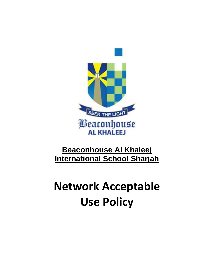

# **Beaconhouse Al Khaleej International School Sharjah**

# **Network Acceptable Use Policy**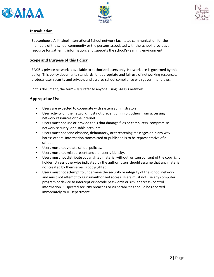





#### **Introduction**

Beaconhouse Al Khaleej International School network facilitates communication for the members of the school community or the persons associated with the school, provides a resource for gathering information, and supports the school's-learning environment.

#### **Scope and Purpose of this Policy**

BAKIS's private network is available to authorized users only. Network use is governed by this policy. This policy documents standards for appropriate and fair use of networking resources, protects user security and privacy, and assures school compliance with government laws.

In this document, the term *users* refer to anyone using BAKIS's network.

#### **Appropriate Use**

- Users are expected to cooperate with system administrators.
- User activity on the network must not prevent or inhibit others from accessing network resources or the Internet.
- Users must not use or provide tools that damage files or computers, compromise network security, or disable accounts.
- Users must not send obscene, defamatory, or threatening messages or in any way harass others. Information transmitted or published is to be representative of a school.
- Users must not violate school policies.
- Users must not misrepresent another user's identity.
- Users must not distribute copyrighted material without written consent of the copyright holder. Unless otherwise indicated by the author, users should assume that any material not created by themselves is copyrighted.
- Users must not attempt to undermine the security or integrity of the school network and must not attempt to gain unauthorized access. Users must not use any computer program or device to intercept or decode passwords or similar access- control information. Suspected security breaches or vulnerabilities should be reported immediately to IT Department.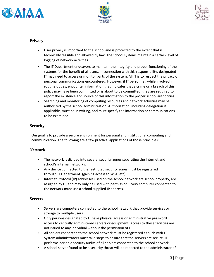





## **Privacy**

- User privacy is important to the school and is protected to the extent that is technically feasible and allowed by law. The school systems maintain a certain level of logging of network activities.
- The IT Department endeavors to maintain the integrity and proper functioning of the systems for the benefit of all users. In connection with this responsibility, designated IT may need to access or monitor parts of the system. All IT is to respect the privacy of personal communications encountered. However, if IT personnel, while involved in routine duties, encounter information that indicates that a crime or a breach of this policy may have been committed or is about to be committed, they are required to report the existence and source of this information to the proper school authorities.
- Searching and monitoring of computing resources and network activities may be authorized by the school administration. Authorization, including delegation if applicable, must be in writing, and must specify the information or communications to be examined.

### **Security**

Our goal is to provide a secure environment for personal and institutional computing and communication. The following are a few practical applications of those principles:

### **Network**

- The network is divided into several security zones separating the Internet and school's internal networks.
- Any device connected to the restricted security zones must be registered through IT Department. (gaining access to Wi-Fi etc)
- Internet Protocol (IP) addresses used on the school network are school property, are assigned by IT, and may only be used with permission. Every computer connected to the network must use a school supplied IP address.

#### **Servers**

- Servers are computers connected to the school network that provide services or storage to multiple users.
- Only persons designated by IT have physical access or administrative password access to centrally administered servers or equipment. Access to these facilities are not issued to any individual without the permission of IT.
- All servers connected to the school network must be registered as such with IT. System administrators must take steps to ensure that the servers are secure. IT performs periodic security audits of all servers connected to the school network.
- A school server found to be a security threat will be reported to the administrator of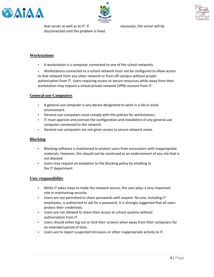





#### **Workstations**

A workstation is a computer connected to one of the school networks.

disconnected until the problem is fixed.

Workstations connected to a school network must not be configured to allow access to that network from any other network or from off-campus without proper authorization from IT. Users requiring access to secure resources while away from their workstation may request a virtual private network (VPN) account from IT.

#### **General-use Computers**

- A general-use computer is any device designated to work in a lab or kiosk environment.
- General-use computers must comply with the policies for workstations.
- IT must approve and oversee the configuration and installation of any general-use computer connected to the network.
- General-use computers are not given access to secure network zones.

#### **Blocking**

- Blocking-software is maintained to protect users from encounters with inappropriate materials. However, this should not be construed as an endorsement of any site that is not blocked.
- Users may request an exception to the blocking policy by emailing to the IT department

#### **User responsibility**

- While IT takes steps to make the network secure, the user plays a very important role in maintaining security.
- Users are not permitted to share passwords with anyone. No one, including IT employees, is authorized to ask for a password. It is strongly suggested that all users protect their credentials.
- Users are not allowed to share their access to school systems without authorization from IT.
- Users should either log out or lock their screens when away from their computers for an extended period of time.
- Users are to report suspected intrusions or other inappropriate activity to IT.